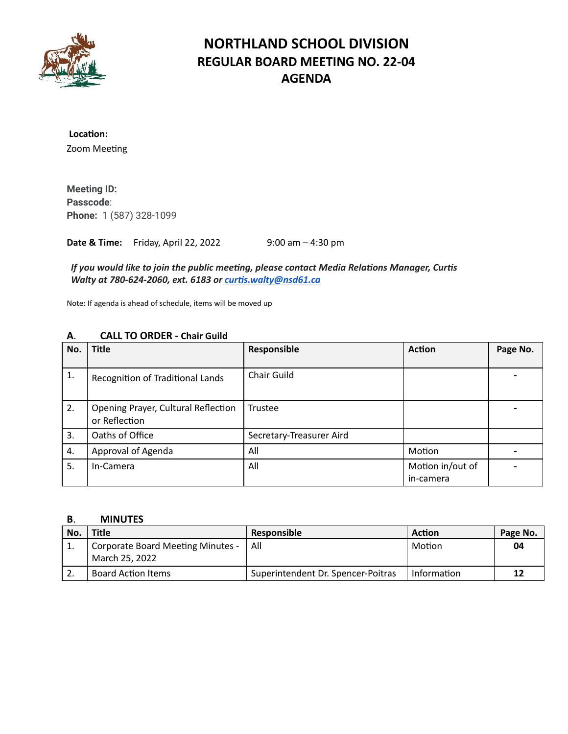

### **NORTHLAND SCHOOL DIVISION REGULAR BOARD MEETING NO. 22-04 AGENDA**

Location: Zoom Meeting

**Meeting ID: Passcode**: **Phone:** 1 (587) 328-1099

**Date & Time:** Friday, April 22, 2022 9:00 am – 4:30 pm

*If* you would like to join the public meeting, please contact Media Relations Manager, Curtis *Walty at 780-624-2060, ext. 6183 or [curs.walty@nsd61.ca](mailto:curtis.walty@nsd61.ca)*

Note: If agenda is ahead of schedule, items will be moved up

| Α.  | CALL TO ONDER - Chail Guild                          |                          |                               |          |
|-----|------------------------------------------------------|--------------------------|-------------------------------|----------|
| No. | <b>Title</b>                                         | Responsible              | <b>Action</b>                 | Page No. |
| 1.  | Recognition of Traditional Lands                     | Chair Guild              |                               |          |
| 2.  | Opening Prayer, Cultural Reflection<br>or Reflection | Trustee                  |                               |          |
| 3.  | Oaths of Office                                      | Secretary-Treasurer Aird |                               |          |
| 4.  | Approval of Agenda                                   | All                      | Motion                        |          |
| 5.  | In-Camera                                            | All                      | Motion in/out of<br>in-camera |          |

### **A**. **CALL TO ORDER - Chair Guild**

### **B**. **MINUTES**

| No. | Title                                               | <b>Responsible</b>                 | Action      | Page No. |
|-----|-----------------------------------------------------|------------------------------------|-------------|----------|
|     | Corporate Board Meeting Minutes -<br>March 25, 2022 | All                                | Motion      | 04       |
|     |                                                     |                                    |             |          |
|     | <b>Board Action Items</b>                           | Superintendent Dr. Spencer-Poitras | Information |          |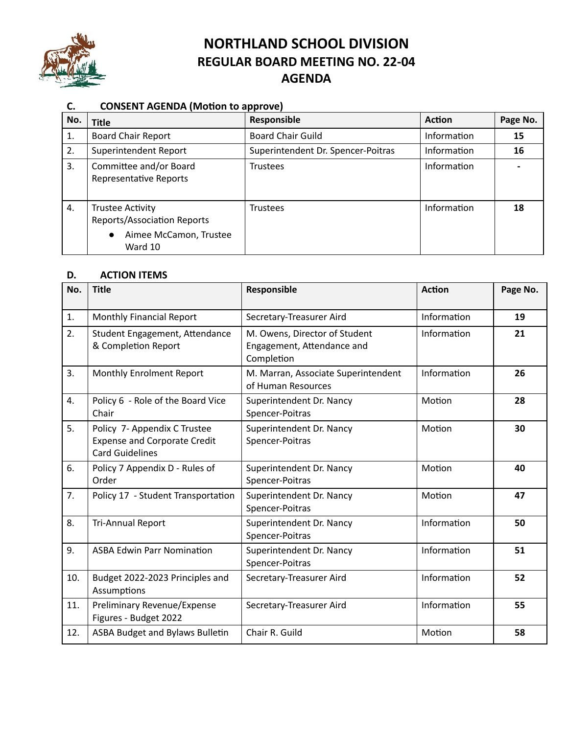

# **NORTHLAND SCHOOL DIVISION REGULAR BOARD MEETING NO. 22-04 AGENDA**

### **C. CONSENT AGENDA (Motion to approve)**

| No. | <b>Title</b>                                                                                                    | Responsible                        | <b>Action</b> | Page No. |
|-----|-----------------------------------------------------------------------------------------------------------------|------------------------------------|---------------|----------|
| 1.  | <b>Board Chair Report</b>                                                                                       | <b>Board Chair Guild</b>           | Information   | 15       |
| 2.  | Superintendent Report                                                                                           | Superintendent Dr. Spencer-Poitras | Information   | 16       |
| 3.  | Committee and/or Board<br>Representative Reports                                                                | <b>Trustees</b>                    | Information   |          |
| 4.  | <b>Trustee Activity</b><br><b>Reports/Association Reports</b><br>Aimee McCamon, Trustee<br>$\bullet$<br>Ward 10 | <b>Trustees</b>                    | Information   | 18       |

### **D. ACTION ITEMS**

| No. | <b>Title</b>                                                                                  | Responsible                                                               | <b>Action</b> | Page No. |
|-----|-----------------------------------------------------------------------------------------------|---------------------------------------------------------------------------|---------------|----------|
| 1.  | Monthly Financial Report                                                                      | Secretary-Treasurer Aird                                                  | Information   | 19       |
| 2.  | Student Engagement, Attendance<br>& Completion Report                                         | M. Owens, Director of Student<br>Engagement, Attendance and<br>Completion | Information   | 21       |
| 3.  | Monthly Enrolment Report                                                                      | M. Marran, Associate Superintendent<br>of Human Resources                 | Information   | 26       |
| 4.  | Policy 6 - Role of the Board Vice<br>Chair                                                    | Superintendent Dr. Nancy<br>Spencer-Poitras                               | Motion        | 28       |
| 5.  | Policy 7- Appendix C Trustee<br><b>Expense and Corporate Credit</b><br><b>Card Guidelines</b> | Superintendent Dr. Nancy<br>Spencer-Poitras                               | Motion        | 30       |
| 6.  | Policy 7 Appendix D - Rules of<br>Order                                                       | Superintendent Dr. Nancy<br>Spencer-Poitras                               | Motion        | 40       |
| 7.  | Policy 17 - Student Transportation                                                            | Superintendent Dr. Nancy<br>Spencer-Poitras                               | Motion        | 47       |
| 8.  | <b>Tri-Annual Report</b>                                                                      | Superintendent Dr. Nancy<br>Spencer-Poitras                               | Information   | 50       |
| 9.  | <b>ASBA Edwin Parr Nomination</b>                                                             | Superintendent Dr. Nancy<br>Spencer-Poitras                               | Information   | 51       |
| 10. | Budget 2022-2023 Principles and<br>Assumptions                                                | Secretary-Treasurer Aird                                                  | Information   | 52       |
| 11. | Preliminary Revenue/Expense<br>Figures - Budget 2022                                          | Secretary-Treasurer Aird                                                  | Information   | 55       |
| 12. | <b>ASBA Budget and Bylaws Bulletin</b>                                                        | Chair R. Guild                                                            | Motion        | 58       |